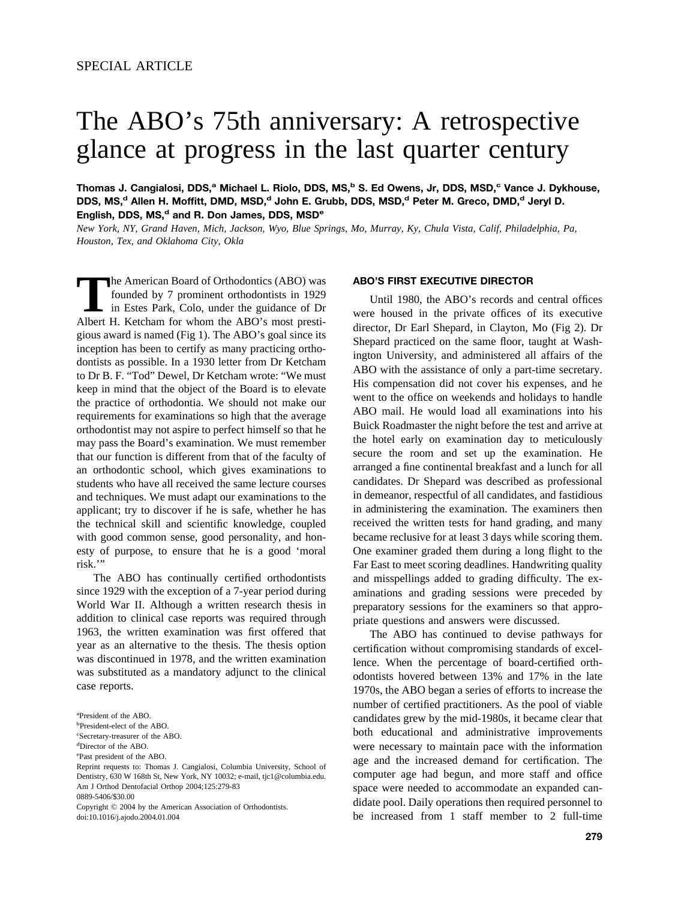# The ABO's 75th anniversary: A retrospective glance at progress in the last quarter century

**Thomas J. Cangialosi, DDS,a Michael L. Riolo, DDS, MS,b S. Ed Owens, Jr, DDS, MSD,c Vance J. Dykhouse,** DDS, MS,<sup>d</sup> Allen H. Moffitt, DMD, MSD,<sup>d</sup> John E. Grubb, DDS, MSD,<sup>d</sup> Peter M. Greco, DMD,<sup>d</sup> Jeryl D. English, DDS, MS,<sup>d</sup> and R. Don James, DDS, MSD<sup>e</sup>

*New York, NY, Grand Haven, Mich, Jackson, Wyo, Blue Springs, Mo, Murray, Ky, Chula Vista, Calif, Philadelphia, Pa, Houston, Tex, and Oklahoma City, Okla*

The American Board of Orthodontics (ABO) was founded by 7 prominent orthodontists in 1929 in Estes Park, Colo, under the guidance of Dr Albert H. Ketcham for whom the ABO's most prestigious award is named [\(Fig 1\)](#page-1-0). The ABO's goal since its inception has been to certify as many practicing orthodontists as possible. In a 1930 letter from Dr Ketcham to Dr B. F. "Tod" Dewel, Dr Ketcham wrote: "We must keep in mind that the object of the Board is to elevate the practice of orthodontia. We should not make our requirements for examinations so high that the average orthodontist may not aspire to perfect himself so that he may pass the Board's examination. We must remember that our function is different from that of the faculty of an orthodontic school, which gives examinations to students who have all received the same lecture courses and techniques. We must adapt our examinations to the applicant; try to discover if he is safe, whether he has the technical skill and scientific knowledge, coupled with good common sense, good personality, and honesty of purpose, to ensure that he is a good 'moral risk.'"

The ABO has continually certified orthodontists since 1929 with the exception of a 7-year period during World War II. Although a written research thesis in addition to clinical case reports was required through 1963, the written examination was first offered that year as an alternative to the thesis. The thesis option was discontinued in 1978, and the written examination was substituted as a mandatory adjunct to the clinical case reports.

0889-5406/\$30.00

Copyright © 2004 by the American Association of Orthodontists. doi:10.1016/j.ajodo.2004.01.004

#### **ABO'S FIRST EXECUTIVE DIRECTOR**

Until 1980, the ABO's records and central offices were housed in the private offices of its executive director, Dr Earl Shepard, in Clayton, Mo [\(Fig 2\)](#page-2-0). Dr Shepard practiced on the same floor, taught at Washington University, and administered all affairs of the ABO with the assistance of only a part-time secretary. His compensation did not cover his expenses, and he went to the office on weekends and holidays to handle ABO mail. He would load all examinations into his Buick Roadmaster the night before the test and arrive at the hotel early on examination day to meticulously secure the room and set up the examination. He arranged a fine continental breakfast and a lunch for all candidates. Dr Shepard was described as professional in demeanor, respectful of all candidates, and fastidious in administering the examination. The examiners then received the written tests for hand grading, and many became reclusive for at least 3 days while scoring them. One examiner graded them during a long flight to the Far East to meet scoring deadlines. Handwriting quality and misspellings added to grading difficulty. The examinations and grading sessions were preceded by preparatory sessions for the examiners so that appropriate questions and answers were discussed.

The ABO has continued to devise pathways for certification without compromising standards of excellence. When the percentage of board-certified orthodontists hovered between 13% and 17% in the late 1970s, the ABO began a series of efforts to increase the number of certified practitioners. As the pool of viable candidates grew by the mid-1980s, it became clear that both educational and administrative improvements were necessary to maintain pace with the information age and the increased demand for certification. The computer age had begun, and more staff and office space were needed to accommodate an expanded candidate pool. Daily operations then required personnel to be increased from 1 staff member to 2 full-time

a President of the ABO.

b President-elect of the ABO.

c Secretary-treasurer of the ABO.

d Director of the ABO.

e Past president of the ABO.

Reprint requests to: Thomas J. Cangialosi, Columbia University, School of Dentistry, 630 W 168th St, New York, NY 10032; e-mail, tjc1@columbia.edu. Am J Orthod Dentofacial Orthop 2004;125:279-83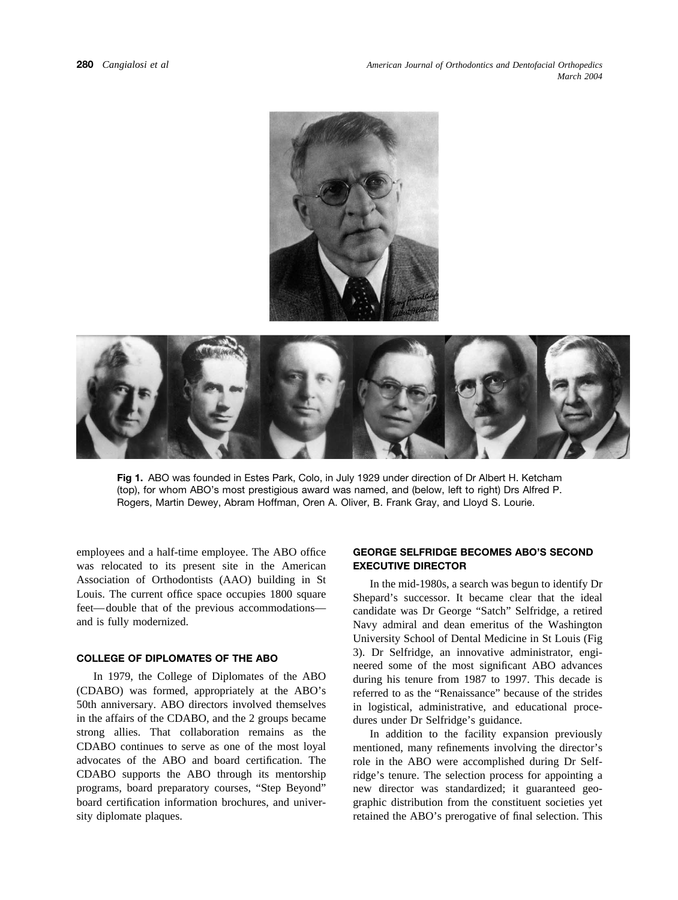<span id="page-1-0"></span>



**Fig 1.** ABO was founded in Estes Park, Colo, in July 1929 under direction of Dr Albert H. Ketcham (top), for whom ABO's most prestigious award was named, and (below, left to right) Drs Alfred P. Rogers, Martin Dewey, Abram Hoffman, Oren A. Oliver, B. Frank Gray, and Lloyd S. Lourie.

employees and a half-time employee. The ABO office was relocated to its present site in the American Association of Orthodontists (AAO) building in St Louis. The current office space occupies 1800 square feet—double that of the previous accommodations and is fully modernized.

### **COLLEGE OF DIPLOMATES OF THE ABO**

In 1979, the College of Diplomates of the ABO (CDABO) was formed, appropriately at the ABO's 50th anniversary. ABO directors involved themselves in the affairs of the CDABO, and the 2 groups became strong allies. That collaboration remains as the CDABO continues to serve as one of the most loyal advocates of the ABO and board certification. The CDABO supports the ABO through its mentorship programs, board preparatory courses, "Step Beyond" board certification information brochures, and university diplomate plaques.

# **GEORGE SELFRIDGE BECOMES ABO'S SECOND EXECUTIVE DIRECTOR**

In the mid-1980s, a search was begun to identify Dr Shepard's successor. It became clear that the ideal candidate was Dr George "Satch" Selfridge, a retired Navy admiral and dean emeritus of the Washington University School of Dental Medicine in St Louis [\(Fig](#page-2-0) [3\)](#page-2-0). Dr Selfridge, an innovative administrator, engineered some of the most significant ABO advances during his tenure from 1987 to 1997. This decade is referred to as the "Renaissance" because of the strides in logistical, administrative, and educational procedures under Dr Selfridge's guidance.

In addition to the facility expansion previously mentioned, many refinements involving the director's role in the ABO were accomplished during Dr Selfridge's tenure. The selection process for appointing a new director was standardized; it guaranteed geographic distribution from the constituent societies yet retained the ABO's prerogative of final selection. This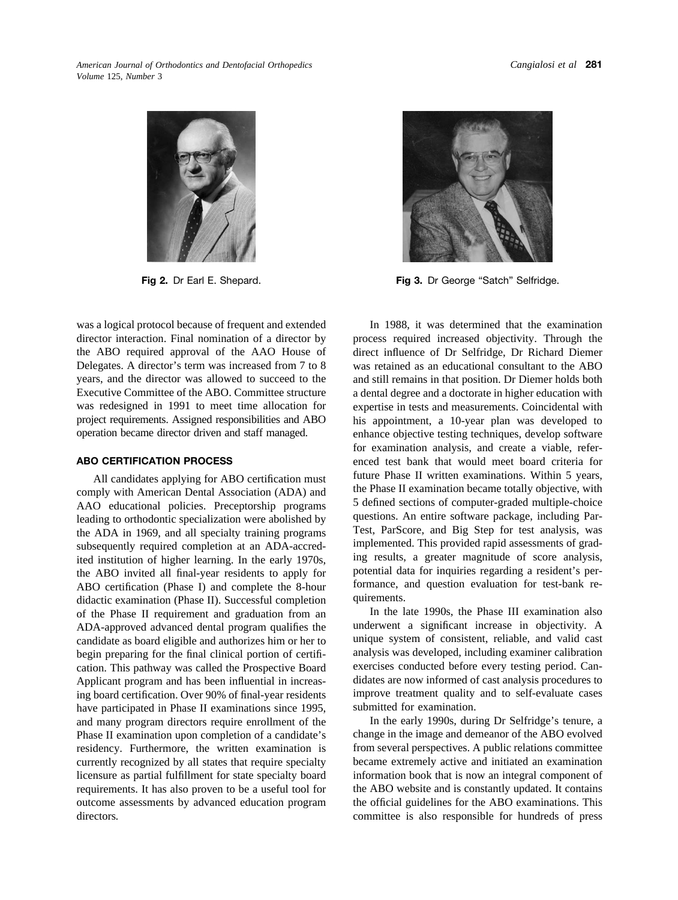<span id="page-2-0"></span>*American Journal of Orthodontics and Dentofacial Orthopedics Volume* 125, *Number* 3



was a logical protocol because of frequent and extended director interaction. Final nomination of a director by the ABO required approval of the AAO House of Delegates. A director's term was increased from 7 to 8 years, and the director was allowed to succeed to the Executive Committee of the ABO. Committee structure was redesigned in 1991 to meet time allocation for project requirements. Assigned responsibilities and ABO operation became director driven and staff managed.

#### **ABO CERTIFICATION PROCESS**

All candidates applying for ABO certification must comply with American Dental Association (ADA) and AAO educational policies. Preceptorship programs leading to orthodontic specialization were abolished by the ADA in 1969, and all specialty training programs subsequently required completion at an ADA-accredited institution of higher learning. In the early 1970s, the ABO invited all final-year residents to apply for ABO certification (Phase I) and complete the 8-hour didactic examination (Phase II). Successful completion of the Phase II requirement and graduation from an ADA-approved advanced dental program qualifies the candidate as board eligible and authorizes him or her to begin preparing for the final clinical portion of certification. This pathway was called the Prospective Board Applicant program and has been influential in increasing board certification. Over 90% of final-year residents have participated in Phase II examinations since 1995, and many program directors require enrollment of the Phase II examination upon completion of a candidate's residency. Furthermore, the written examination is currently recognized by all states that require specialty licensure as partial fulfillment for state specialty board requirements. It has also proven to be a useful tool for outcome assessments by advanced education program directors*.*



**Fig 2.** Dr Earl E. Shepard. **Fig 3.** Dr George "Satch" Selfridge.

In 1988, it was determined that the examination process required increased objectivity. Through the direct influence of Dr Selfridge, Dr Richard Diemer was retained as an educational consultant to the ABO and still remains in that position. Dr Diemer holds both a dental degree and a doctorate in higher education with expertise in tests and measurements. Coincidental with his appointment, a 10-year plan was developed to enhance objective testing techniques, develop software for examination analysis, and create a viable, referenced test bank that would meet board criteria for future Phase II written examinations. Within 5 years, the Phase II examination became totally objective, with 5 defined sections of computer-graded multiple-choice questions. An entire software package, including Par-Test, ParScore, and Big Step for test analysis, was implemented. This provided rapid assessments of grading results, a greater magnitude of score analysis, potential data for inquiries regarding a resident's performance, and question evaluation for test-bank requirements.

In the late 1990s, the Phase III examination also underwent a significant increase in objectivity. A unique system of consistent, reliable, and valid cast analysis was developed, including examiner calibration exercises conducted before every testing period. Candidates are now informed of cast analysis procedures to improve treatment quality and to self-evaluate cases submitted for examination.

In the early 1990s, during Dr Selfridge's tenure, a change in the image and demeanor of the ABO evolved from several perspectives. A public relations committee became extremely active and initiated an examination information book that is now an integral component of the ABO website and is constantly updated. It contains the official guidelines for the ABO examinations. This committee is also responsible for hundreds of press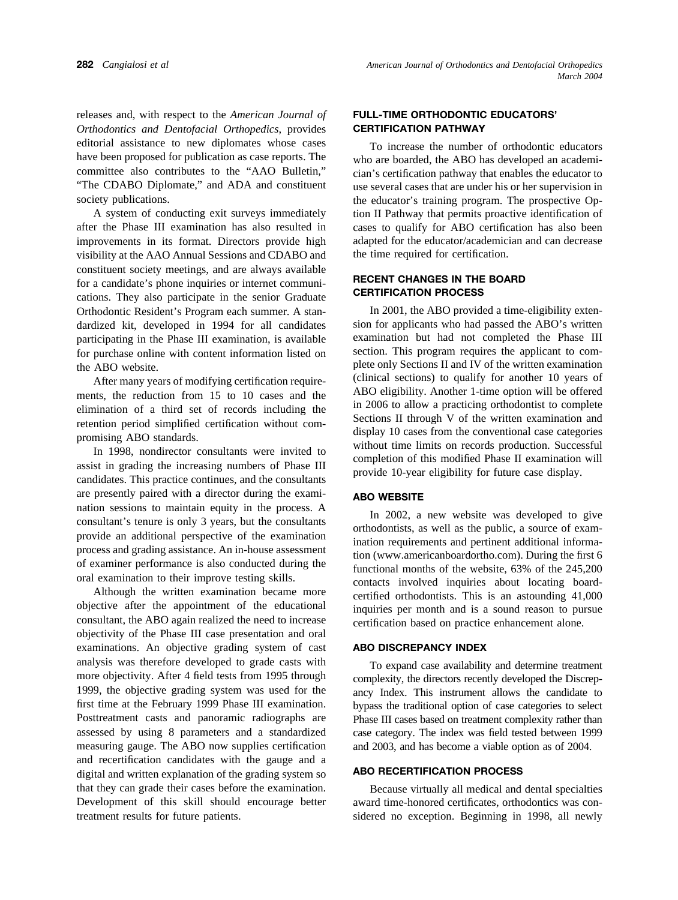releases and, with respect to the *American Journal of Orthodontics and Dentofacial Orthopedics*, provides editorial assistance to new diplomates whose cases have been proposed for publication as case reports. The committee also contributes to the "AAO Bulletin," "The CDABO Diplomate," and ADA and constituent society publications.

A system of conducting exit surveys immediately after the Phase III examination has also resulted in improvements in its format. Directors provide high visibility at the AAO Annual Sessions and CDABO and constituent society meetings, and are always available for a candidate's phone inquiries or internet communications. They also participate in the senior Graduate Orthodontic Resident's Program each summer. A standardized kit, developed in 1994 for all candidates participating in the Phase III examination, is available for purchase online with content information listed on the ABO website.

After many years of modifying certification requirements, the reduction from 15 to 10 cases and the elimination of a third set of records including the retention period simplified certification without compromising ABO standards.

In 1998, nondirector consultants were invited to assist in grading the increasing numbers of Phase III candidates. This practice continues, and the consultants are presently paired with a director during the examination sessions to maintain equity in the process. A consultant's tenure is only 3 years, but the consultants provide an additional perspective of the examination process and grading assistance. An in-house assessment of examiner performance is also conducted during the oral examination to their improve testing skills.

Although the written examination became more objective after the appointment of the educational consultant, the ABO again realized the need to increase objectivity of the Phase III case presentation and oral examinations. An objective grading system of cast analysis was therefore developed to grade casts with more objectivity. After 4 field tests from 1995 through 1999, the objective grading system was used for the first time at the February 1999 Phase III examination. Posttreatment casts and panoramic radiographs are assessed by using 8 parameters and a standardized measuring gauge. The ABO now supplies certification and recertification candidates with the gauge and a digital and written explanation of the grading system so that they can grade their cases before the examination. Development of this skill should encourage better treatment results for future patients.

# **FULL-TIME ORTHODONTIC EDUCATORS' CERTIFICATION PATHWAY**

To increase the number of orthodontic educators who are boarded, the ABO has developed an academician's certification pathway that enables the educator to use several cases that are under his or her supervision in the educator's training program. The prospective Option II Pathway that permits proactive identification of cases to qualify for ABO certification has also been adapted for the educator/academician and can decrease the time required for certification.

## **RECENT CHANGES IN THE BOARD CERTIFICATION PROCESS**

In 2001, the ABO provided a time-eligibility extension for applicants who had passed the ABO's written examination but had not completed the Phase III section. This program requires the applicant to complete only Sections II and IV of the written examination (clinical sections) to qualify for another 10 years of ABO eligibility. Another 1-time option will be offered in 2006 to allow a practicing orthodontist to complete Sections II through V of the written examination and display 10 cases from the conventional case categories without time limits on records production. Successful completion of this modified Phase II examination will provide 10-year eligibility for future case display.

#### **ABO WEBSITE**

In 2002, a new website was developed to give orthodontists, as well as the public, a source of examination requirements and pertinent additional information (www.americanboardortho.com). During the first 6 functional months of the website, 63% of the 245,200 contacts involved inquiries about locating boardcertified orthodontists. This is an astounding 41,000 inquiries per month and is a sound reason to pursue certification based on practice enhancement alone.

# **ABO DISCREPANCY INDEX**

To expand case availability and determine treatment complexity, the directors recently developed the Discrepancy Index. This instrument allows the candidate to bypass the traditional option of case categories to select Phase III cases based on treatment complexity rather than case category. The index was field tested between 1999 and 2003, and has become a viable option as of 2004.

#### **ABO RECERTIFICATION PROCESS**

Because virtually all medical and dental specialties award time-honored certificates, orthodontics was considered no exception. Beginning in 1998, all newly